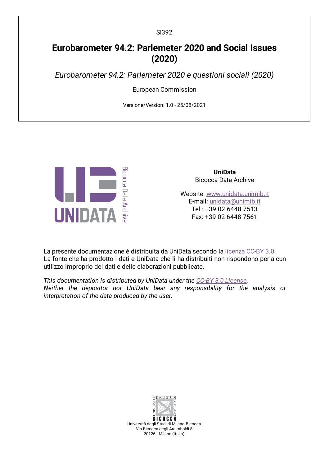# **Eurobarometer 94.2: Parlemeter 2020 and Social Issues (2020)**

*Eurobarometer 94.2: Parlemeter 2020 e questioni sociali (2020)*

European Commission

Versione/Version: 1.0 - 25/08/2021



**UniData** Bicocca Data Archive

Website: [www.unidata.unimib.it](http://www.unidata.unimib.it) E-mail: [unidata@unimib.it](mailto:unidata@unimib.it) Tel.: +39 02 6448 7513 Fax: +39 02 6448 7561

La presente documentazione è distribuita da UniData secondo la [licenza](https://creativecommons.org/licenses/by/3.0/deed.it) CC-BY 3.0. La fonte che ha prodotto i dati e UniData che li ha distribuiti non rispondono per alcun utilizzo improprio dei dati e delle elaborazioni pubblicate.

*This documentation is distributed by UniData under the CC-BY 3.0 [License](https://creativecommons.org/licenses/by/3.0/). Neither the depositor nor UniData bear any responsibility for the analysis or interpretation of the data produced by the user.*



**BICOCCA** Università degli Studi di Milano-Bicocca Via Bicocca degli Arcimboldi 8 20126 - Milano (Italia)

SI392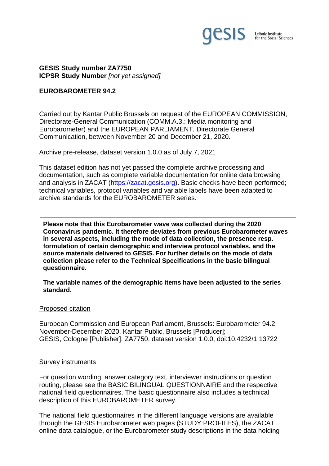

**GESIS Study number ZA7750 ICPSR Study Number** *[not yet assigned]*

#### **EUROBAROMETER 94.2**

Carried out by Kantar Public Brussels on request of the EUROPEAN COMMISSION, Directorate-General Communication (COMM.A.3.: Media monitoring and Eurobarometer) and the EUROPEAN PARLIAMENT, Directorate General Communication, between November 20 and December 21, 2020.

Archive pre-release, dataset version 1.0.0 as of July 7, 2021

This dataset edition has not yet passed the complete archive processing and documentation, such as complete variable documentation for online data browsing and analysis in ZACAT [\(https://zacat.gesis.org\)](https://zacat.gesis.org/). Basic checks have been performed; technical variables, protocol variables and variable labels have been adapted to archive standards for the EUROBAROMETER series.

**Please note that this Eurobarometer wave was collected during the 2020 Coronavirus pandemic. It therefore deviates from previous Eurobarometer waves in several aspects, including the mode of data collection, the presence resp. formulation of certain demographic and interview protocol variables, and the source materials delivered to GESIS. For further details on the mode of data collection please refer to the Technical Specifications in the basic bilingual questionnaire.**

**The variable names of the demographic items have been adjusted to the series standard.**

#### Proposed citation

European Commission and European Parliament, Brussels: Eurobarometer 94.2, November-December 2020. Kantar Public, Brussels [Producer]; GESIS, Cologne [Publisher]: ZA7750, dataset version 1.0.0, doi:10.4232/1.13722

#### Survey instruments

For question wording, answer category text, interviewer instructions or question routing, please see the BASIC BILINGUAL QUESTIONNAIRE and the respective national field questionnaires. The basic questionnaire also includes a technical description of this EUROBAROMETER survey.

The national field questionnaires in the different language versions are available through the GESIS Eurobarometer web pages (STUDY PROFILES), the ZACAT online data catalogue, or the Eurobarometer study descriptions in the data holding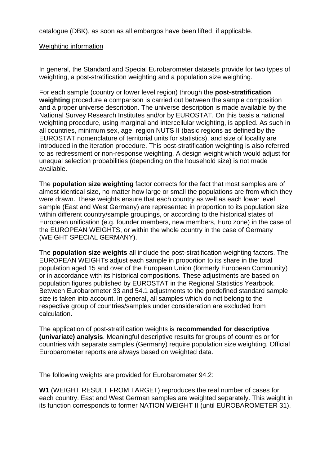catalogue (DBK), as soon as all embargos have been lifted, if applicable.

## Weighting information

In general, the Standard and Special Eurobarometer datasets provide for two types of weighting, a post-stratification weighting and a population size weighting.

For each sample (country or lower level region) through the **post-stratification weighting** procedure a comparison is carried out between the sample composition and a proper universe description. The universe description is made available by the National Survey Research Institutes and/or by EUROSTAT. On this basis a national weighting procedure, using marginal and intercellular weighting, is applied. As such in all countries, minimum sex, age, region NUTS II (basic regions as defined by the EUROSTAT nomenclature of territorial units for statistics), and size of locality are introduced in the iteration procedure. This post-stratification weighting is also referred to as redressment or non-response weighting. A design weight which would adjust for unequal selection probabilities (depending on the household size) is not made available.

The **population size weighting** factor corrects for the fact that most samples are of almost identical size, no matter how large or small the populations are from which they were drawn. These weights ensure that each country as well as each lower level sample (East and West Germany) are represented in proportion to its population size within different country/sample groupings, or according to the historical states of European unification (e.g. founder members, new members, Euro zone) in the case of the EUROPEAN WEIGHTS, or within the whole country in the case of Germany (WEIGHT SPECIAL GERMANY).

The **population size weights** all include the post-stratification weighting factors. The EUROPEAN WEIGHTs adjust each sample in proportion to its share in the total population aged 15 and over of the European Union (formerly European Community) or in accordance with its historical compositions. These adjustments are based on population figures published by EUROSTAT in the Regional Statistics Yearbook. Between Eurobarometer 33 and 54.1 adjustments to the predefined standard sample size is taken into account. In general, all samples which do not belong to the respective group of countries/samples under consideration are excluded from calculation.

The application of post-stratification weights is **recommended for descriptive (univariate) analysis**. Meaningful descriptive results for groups of countries or for countries with separate samples (Germany) require population size weighting. Official Eurobarometer reports are always based on weighted data.

The following weights are provided for Eurobarometer 94.2:

**W1** (WEIGHT RESULT FROM TARGET) reproduces the real number of cases for each country. East and West German samples are weighted separately. This weight in its function corresponds to former NATION WEIGHT II (until EUROBAROMETER 31).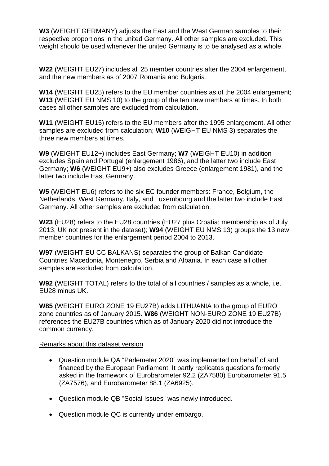**W3** (WEIGHT GERMANY) adjusts the East and the West German samples to their respective proportions in the united Germany. All other samples are excluded. This weight should be used whenever the united Germany is to be analysed as a whole.

**W22** (WEIGHT EU27) includes all 25 member countries after the 2004 enlargement, and the new members as of 2007 Romania and Bulgaria.

**W14** (WEIGHT EU25) refers to the EU member countries as of the 2004 enlargement; **W13** (WEIGHT EU NMS 10) to the group of the ten new members at times. In both cases all other samples are excluded from calculation.

**W11** (WEIGHT EU15) refers to the EU members after the 1995 enlargement. All other samples are excluded from calculation; **W10** (WEIGHT EU NMS 3) separates the three new members at times.

**W9** (WEIGHT EU12+) includes East Germany; **W7** (WEIGHT EU10) in addition excludes Spain and Portugal (enlargement 1986), and the latter two include East Germany; **W6** (WEIGHT EU9+) also excludes Greece (enlargement 1981), and the latter two include East Germany.

**W5** (WEIGHT EU6) refers to the six EC founder members: France, Belgium, the Netherlands, West Germany, Italy, and Luxembourg and the latter two include East Germany. All other samples are excluded from calculation.

**W23** (EU28) refers to the EU28 countries (EU27 plus Croatia; membership as of July 2013; UK not present in the dataset); **W94** (WEIGHT EU NMS 13) groups the 13 new member countries for the enlargement period 2004 to 2013.

**W97** (WEIGHT EU CC BALKANS) separates the group of Balkan Candidate Countries Macedonia, Montenegro, Serbia and Albania. In each case all other samples are excluded from calculation.

**W92** (WEIGHT TOTAL) refers to the total of all countries / samples as a whole, i.e. EU28 minus UK.

**W85** (WEIGHT EURO ZONE 19 EU27B) adds LITHUANIA to the group of EURO zone countries as of January 2015. **W86** (WEIGHT NON-EURO ZONE 19 EU27B) references the EU27B countries which as of January 2020 did not introduce the common currency.

### Remarks about this dataset version

- Question module QA "Parlemeter 2020" was implemented on behalf of and financed by the European Parliament. It partly replicates questions formerly asked in the framework of Eurobarometer 92.2 (ZA7580) Eurobarometer 91.5 (ZA7576), and Eurobarometer 88.1 (ZA6925).
- Question module QB "Social Issues" was newly introduced.
- Question module QC is currently under embargo.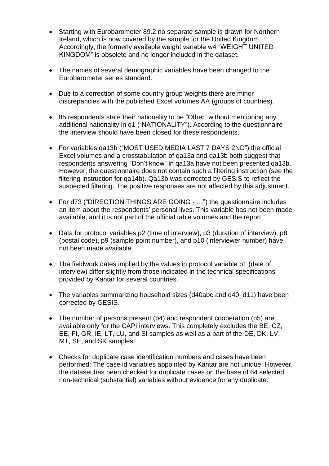- Starting with Eurobarometer 89.2 no separate sample is drawn for Northern Ireland, which is now covered by the sample for the United Kingdom. Accordingly, the formerly available weight variable w4 "WEIGHT UNITED KINGDOM" is obsolete and no longer included in the dataset.
- The names of several demographic variables have been changed to the Eurobarometer series standard.
- Due to a correction of some country group weights there are minor discrepancies with the published Excel volumes AA (groups of countries).
- 85 respondents state their nationality to be "Other" without mentioning any additional nationality in q1 ("NATIONALITY"). According to the questionnaire the interview should have been closed for these respondents.
- For variables qa13b ("MOST USED MEDIA LAST 7 DAYS 2ND") the official Excel volumes and a crosstabulation of qa13a and qa13b both suggest that respondents answering "Don't know" in qa13a have not been presented qa13b. However, the questionnaire does not contain such a filtering instruction (see the filtering instruction for qa14b). Qa13b was corrected by GESIS to reflect the suspected filtering. The positive responses are not affected by this adjustment.
- For d73 ("DIRECTION THINGS ARE GOING …") the questionnaire includes an item about the respondents' personal lives. This variable has not been made available, and it is not part of the official table volumes and the report.
- Data for protocol variables p2 (time of interview), p3 (duration of interview), p8 (postal code), p9 (sample point number), and p10 (interviewer number) have not been made available.
- The fieldwork dates implied by the values in protocol variable p1 (date of interview) differ slightly from those indicated in the technical specifications provided by Kantar for several countries.
- The variables summarizing household sizes (d40abc and d40 d11) have been corrected by GESIS.
- The number of persons present (p4) and respondent cooperation (p5) are available only for the CAPI interviews. This completely excludes the BE, CZ, EE, FI, GR, IE, LT, LU, and SI samples as well as a part of the DE, DK, LV, MT, SE, and SK samples.
- Checks for duplicate case identification numbers and cases have been performed: The case id variables appointed by Kantar are not unique. However, the dataset has been checked for duplicate cases on the base of 64 selected non-technical (substantial) variables without evidence for any duplicate.